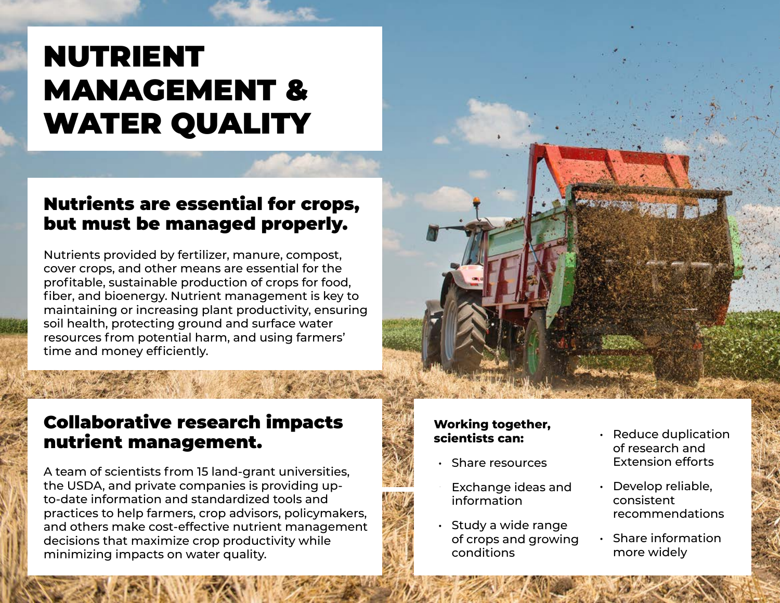# NUTRIENT MANAGEMENT & WATER QUALITY

## Nutrients are essential for crops, but must be managed properly.

Nutrients provided by fertilizer, manure, compost, cover crops, and other means are essential for the profitable, sustainable production of crops for food, fiber, and bioenergy. Nutrient management is key to maintaining or increasing plant productivity, ensuring soil health, protecting ground and surface water resources from potential harm, and using farmers' time and money efficiently.

# Collaborative research impacts nutrient management.

A team of scientists from 15 land-grant universities, the USDA, and private companies is providing upto-date information and standardized tools and practices to help farmers, crop advisors, policymakers, and others make cost-effective nutrient management decisions that maximize crop productivity while minimizing impacts on water quality.

#### **Working together, scientists can:**

- Share resources
- Exchange ideas and information
- Study a wide range of crops and growing conditions
- of research and Extension efforts
- Develop reliable, consistent recommendations
- Share information more widely